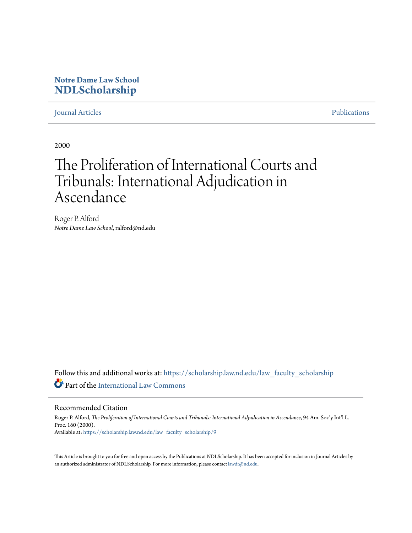## **Notre Dame Law School [NDLScholarship](https://scholarship.law.nd.edu?utm_source=scholarship.law.nd.edu%2Flaw_faculty_scholarship%2F9&utm_medium=PDF&utm_campaign=PDFCoverPages)**

## [Journal Articles](https://scholarship.law.nd.edu/law_faculty_scholarship?utm_source=scholarship.law.nd.edu%2Flaw_faculty_scholarship%2F9&utm_medium=PDF&utm_campaign=PDFCoverPages) [Publications](https://scholarship.law.nd.edu/ndls_pubs?utm_source=scholarship.law.nd.edu%2Flaw_faculty_scholarship%2F9&utm_medium=PDF&utm_campaign=PDFCoverPages)

2000

# The Proliferation of International Courts and Tribunals: International Adjudication in Ascendance

Roger P. Alford *Notre Dame Law School*, ralford@nd.edu

Follow this and additional works at: [https://scholarship.law.nd.edu/law\\_faculty\\_scholarship](https://scholarship.law.nd.edu/law_faculty_scholarship?utm_source=scholarship.law.nd.edu%2Flaw_faculty_scholarship%2F9&utm_medium=PDF&utm_campaign=PDFCoverPages) Part of the [International Law Commons](http://network.bepress.com/hgg/discipline/609?utm_source=scholarship.law.nd.edu%2Flaw_faculty_scholarship%2F9&utm_medium=PDF&utm_campaign=PDFCoverPages)

## Recommended Citation

Roger P. Alford, *The Proliferation of International Courts and Tribunals: International Adjudication in Ascendance*, 94 Am. Soc'y Int'l L. Proc. 160 (2000). Available at: [https://scholarship.law.nd.edu/law\\_faculty\\_scholarship/9](https://scholarship.law.nd.edu/law_faculty_scholarship/9?utm_source=scholarship.law.nd.edu%2Flaw_faculty_scholarship%2F9&utm_medium=PDF&utm_campaign=PDFCoverPages)

This Article is brought to you for free and open access by the Publications at NDLScholarship. It has been accepted for inclusion in Journal Articles by an authorized administrator of NDLScholarship. For more information, please contact [lawdr@nd.edu.](mailto:lawdr@nd.edu)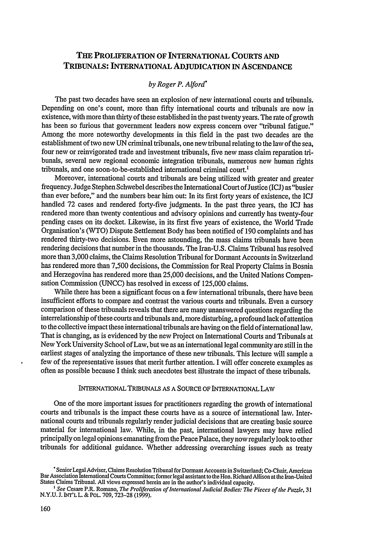## **THE PROLIFERATION OF INTERNATIONAL COURTS AND TRIBUNALS: INTERNATIONAL ADJUDICATION IN ASCENDANCE**

## *by Roger P. Alford\**

The past two decades have seen an explosion of new international courts and tribunals. Depending on one's count, more than fifty international courts and tribunals are now in existence, with more than thirty of these established in the past twenty years. The rate of growth has been so furious that government leaders now express concern over "tribunal fatigue." Among the more noteworthy developments in this field in the past two decades are the establishment of two new UN criminal tribunals, one new tribunal relating to the law of the sea, four new or reinvigorated trade and investment tribunals, five new mass claim reparation tribunals, several new regional economic integration tribunals, numerous new human rights tribunals, and one soon-to-be-established international criminal court.'

Moreover, international courts and tribunals are being utilized with greater and greater frequency. Judge Stephen Schwebel describes the International Court of Justice (ICJ) as "busier than ever before," and the numbers bear him out: In its first forty years of existence, the ICJ handled 72 cases and rendered forty-five judgments. In the past three years, the ICJ has rendered more than twenty contentious and advisory opinions and currently has twenty-four pending cases on its docket. Likewise, in its first five years of existence, the World Trade Organisation's (WTO) Dispute Settlement Body has been notified of 190 complaints and has rendered thirty-two decisions. Even more astounding, the mass claims tribunals have been rendering decisions that number in the thousands. The Iran-U.S. Claims Tribunal has resolved more than 3,000 claims, the Claims Resolution Tribunal for Dormant Accounts in Switzerland has rendered more than 7,500 decisions, the Commission for Real Property Claims in Bosnia and Herzegovina has rendered more than 25,000 decisions, and the United Nations Compensation Commission (UNCC) has resolved in excess of 125,000 claims.

While there has been a significant focus on a few international tribunals, there have been insufficient efforts to compare and contrast the various courts and tribunals. Even a cursory comparison of these tribunals reveals that there are many unanswered questions regarding the interrelationship of these courts and tribunals and, more disturbing, aprofound lack of attention to the collective impact these international tribunals are having on the field of international law. That is changing, as is evidenced by the new Project on International Courts and Tribunals at New York University School of Law, but we as an international legal community are still in the earliest stages of analyzing the importance of these new tribunals. This lecture will sample a few of the representative issues that merit further attention. I will offer concrete examples as often as possible because I think such anecdotes best illustrate the impact of these tribunals.

#### INTERNATIONAL TRIBUNALS AS A SOURCE OF INTERNATIONAL LAW

One of the more important issues for practitioners regarding the growth of international courts and tribunals is the impact these courts have as a source of international law. International courts and tribunals regularly render judicial decisions that are creating basic source material for international law. While, in the past, international lawyers may have relied principally on legal opinions emanating from the Peace Palace, they now regularly look to other tribunals for additional guidance. Whether addressing overarching issues such as treaty

<sup>&</sup>quot;SeniorLegal Adviser, Claims Resolution Tribunal for Dormant Accounts in Switzerland; Co-Chair, American BarAssociation International Courts Committee; formerlegal assistant to the Hon. Richard Allison at the Iran-United States Claims Tribunal. All views expressed herein are in the author's individual capacity.

*<sup>&#</sup>x27;See* Cesare P.R. Romano, *The Proliferation of International Judicial Bodies: The Pieces of the Puzzle,* 31 N.Y.U. J. Int'l L. & Pol. 709, 723–28 (1999)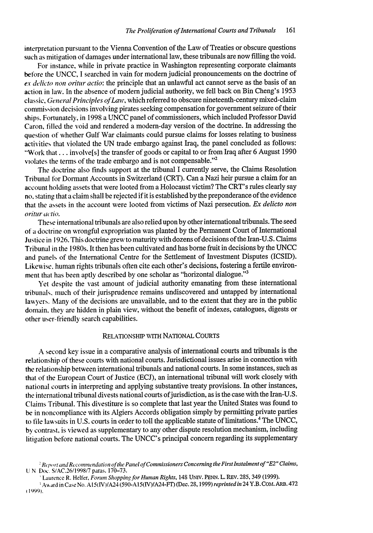interpretation pursuant to the Vienna Convention of the Law of Treaties or obscure questions such as mitigation of damages under international law, these tribunals are now filling the void.

For instance, while in private practice in Washington representing corporate claimants before the UNCC, I searched in vain for modern judicial pronouncements on the doctrine of *ex delicto non oritur actio:* the principle that an unlawful act cannot serve as the basis of an action in law. In the absence of modern judicial authority, we fell back on Bin Cheng's 1953 classic, *General Principles ofLaw,* which referred to obscure nineteenth-century mixed-claim commission decisions involving pirates seeking compensation for government seizure of their ships. Fortunately, in 1998 a UNCC panel of commissioners, which included Professor David Caron, filled the void and rendered a modem-day version of the doctrine. In addressing the question of whether Gulf War claimants could pursue claims for losses relating to business activities that violated the UN trade embargo against Iraq, the panel concluded as follows: "Work that **...** involve[s] the transfer of goods or capital to or from Iraq after 6 August 1990 violates the terms of the trade embargo and is not compensable."2

The doctrine also finds support at the tribunal I currently serve, the Claims Resolution Tribunal for Dormant Accounts in Switzerland (CRT). Can a Nazi heir pursue a claim for an account holding assets that were looted from a Holocaust victim? The CRT's rules clearly say *no,* stating that a claim shall be rejected if it is established by the preponderance of the evidence that the assets in the account were looted from victims of Nazi persecution. *Ex delicto non oritur actio.*

These international tribunals are also relied upon by other international tribunals. The seed of a doctrine on wrongful expropriation was planted by the Permanent Court of International Justice in 1926. This doctrine grew to maturity with dozens of decisions of the Iran-U.S. Claims Tribunal in the 1980s. It then has been cultivated and has borne fruit in decisions by the UNCC and panels of the International Centre for the Settlement of Investment Disputes (ICSID). Likewise, human rights tribunals often cite each other's decisions, fostering a fertile environment that has been aptly described by one scholar as "horizontal dialogue."<sup>3</sup>

Yet despite the vast amount of judicial authority emanating from these international tribunals, much of their jurisprudence remains undiscovered and untapped by international lawyers. Many of the decisions are unavailable, and to the extent that they are in the public domain, they are hidden in plain view, without the benefit of indexes, catalogues, digests or other user-friendly search capabilities.

#### RELATIONSHIP WITH NATIONAL COURTS

A second key issue in a comparative analysis of international courts and tribunals is the relationship of these courts with national courts. Jurisdictional issues arise in connection with the relationship between international tribunals and national courts. In some instances, such as that of the European Court of Justice (ECJ), an international tribunal will work closely with national courts in interpreting and applying substantive treaty provisions. In other instances, the international tribunal divests national courts of jurisdiction, as is the case with the Iran-U.S. Claims Tribunal. This divestiture is so complete that last year the United States was found to be in noncompliance with its Algiers Accords obligation simply by permitting private parties to file lawsuits in U.S. courts in order to toll the applicable statute of limitations.4 The UNCC, by contrast, is viewed as supplementary to any other dispute resolution mechanism, including litigation before national courts. The UNCC's principal concern regarding its supplementary

<sup>&</sup>lt;sup>2</sup> Report and Recommendation of the Panel of Commissioners Concerning the First Instalment of "E2" Claims, U N Doc. S/AC.26/1998/7 paras. 170-73.

<sup>&#</sup>x27;Laurence R. Helfer, *Forum Shopping for Human Rights,* 148 UNiv. PENN. L. REv. 285, 349 (1999).

<sup>&</sup>lt;sup>1</sup> Aw ard in Case No. A15(IV)/A24 (590-A15(IV)/A24-FT) (Dec. 28, 1999) *reprinted in* 24 Y.B. COM. ARB. 472 **11999),**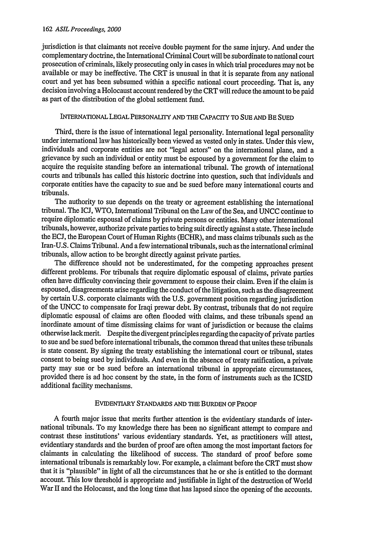#### **162** *ASIL Proceedings, 2000*

jurisdiction is that claimants not receive double payment for the same injury. And under the complementary doctrine, the International Criminal Court will be subordinate to national court prosecution of criminals, likely prosecuting only in cases in which trial procedures may not be available or may be ineffective. The CRT is unusual in that it is separate from any national court and yet has been subsumed within a specific national court proceeding. That is, any decision involving a Holocaust account rendered by the CRT will reduce the amount to be paid as part of the distribution of the global settlement fund.

## INTERNATIONAL LEGAL PERSONALIFY **AND THE** CAPACITY TO **SUE AND** BE **SUED**

Third, there is the issue of international legal personality. International legal personality under international law has historically been viewed as vested only in states. Under this view, individuals and corporate entities are not "legal actors" on the international plane, and a grievance by such an individual or entity must be espoused by a government for the claim to acquire the requisite standing before an international tribunal. The growth of international courts and tribunals has called this historic doctrine into question, such that individuals and corporate entities have the capacity to sue and be sued before many international courts and tribunals.

The authority to sue depends on the treaty or agreement establishing the international tribunal. The ICJ, WTO, International Tribunal on the Law of the Sea, and UNCC continue to require diplomatic espousal of claims by private persons or entities. Many other international tribunals, however, authorize private parties to bring suit directly against a state. These include the ECJ, the European Court of Human Rights (ECHR), and mass claims tribunals such as the Iran-U.S. Claims Tribunal. And a few international tribunals, such as the international criminal tribunals, allow action to be brought directly against private parties.

The difference should not be underestimated, for the competing approaches present different problems. For tribunals that require diplomatic espousal of claims, private parties often have difficulty convincing their government to espouse their claim. Even if the claim is espoused, disagreements arise regarding the conduct of the litigation, such as the disagreement by certain U.S. corporate claimants with the U.S. government position regarding jurisdiction of the UNCC to compensate for Iraqi prewar debt. By contrast, tribunals that do not require diplomatic espousal of claims are often flooded with claims, and these tribunals spend an inordinate amount of time dismissing claims for want of jurisdiction or because the claims otherwise lack merit. Despite the divergent principles regarding the capacity of private parties to sue and be sued before international tribunals, the common thread that unites these tribunals is state consent. By signing the treaty establishing the international court or tribunal, states consent to being sued by individuals. And even in the absence of treaty ratification, a private party may sue or be sued before an international tribunal in appropriate circumstances, provided there is ad hoc consent by the state, in the form of instruments such as the ICSID additional facility mechanisms.

#### EVIDENTIARY STANDARDS **AND THE BURDEN** OF PROOF

A fourth major issue that merits further attention is the evidentiary standards of international tribunals. To my knowledge there has been no significant attempt to compare and contrast these institutions' various evidentiary standards. Yet, as practitioners **will** attest, evidentiary standards and the burden of proof are often among the most important factors for claimants in calculating the likelihood of success. The standard of proof before some international tribunals is remarkably low. For example, a claimant before the CRT must show that it is "plausible" in light of all the circumstances that he or she is entitled to the dormant account. This low threshold is appropriate and justifiable in light of the destruction of World War II and the Holocaust, and the long time that has lapsed since the opening of the accounts.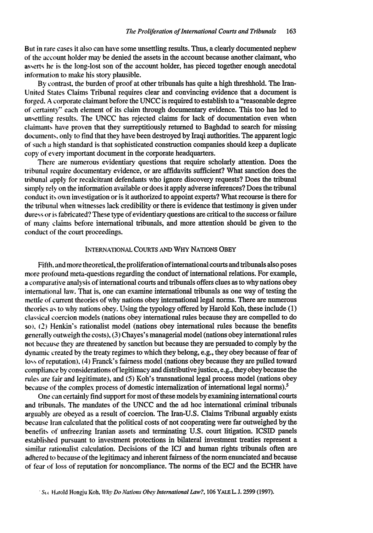But in rare cases it also can have some unsettling results. Thus, a clearly documented nephew of the account holder may be denied the assets in the account because another claimant, who asserts he is the long-lost son of the account holder, has pieced together enough anecdotal information to make his story plausible.

By contrast, the burden of proof at other tribunals has quite a high threshhold. The Iran-United States Claims Tribunal requires clear and convincing evidence that a document is forged. A corporate claimant before the UNCC is required to establish to a "reasonable degree **of** certainty" each element of its claim through documentary evidence. This too has led to unsettling results. The UNCC has rejected claims for lack of documentation even when claimants have proven that they surreptitiously returned to Baghdad to search for missing documents, only to find that they have been destroyed by Iraqi authorities. The apparent logic of such a high standard is that sophisticated construction companies should keep a duplicate copy of every important document in the corporate headquarters.

There are numerous evidentiary questions that require scholarly attention. Does the tribunal require documentary evidence, or are affidavits sufficient? What sanction does the tribunal apply for recalcitrant defendants who ignore discovery requests? Does the tribunal simply rely on the information available or does it apply adverse inferences? Does the tribunal conduct its own investigation or is it authorized to appoint experts? What recourse is there for the tribunal when witnesses lack credibility or there is evidence that testimony is given under duress or is fabricated? These type of evidentiary questions are critical to the success or failure of many claims before international tribunals, and more attention should be given to the conduct of the court proceedings.

#### **INTERNATIONAL** COURTS **AND** WHY **NATIONS OBEY**

Fifth, and more theoretical, the proliferation **of** international courts and tribunals also poses more profound meta-questions regarding the conduct of international relations. For example, a comparative analysis of international courts and tribunals offers clues as to why nations obey international law. That is, one can examine international tribunals as one way of testing the mettle of current theories of why nations obey international legal norms. There are numerous theories as to why nations obey. Using the typology offered by Harold Koh, these include (I) classical coercion models (nations obey international rules because they are compelled to do so), (2) Henkin's rationalist model (nations obey international rules because the benefits generally outweigh the costs), (3) Chayes's managerial model (nations obey international rules not because they are threatened by sanction but because they are persuaded to comply by the dynamic created by the treaty regimes to which they belong, e.g., they obey because of fear of loss of reputation). (4) Franck's fairness model (nations obey because they are pulled toward compliance by considerations of legitimacy and distributive justice, e.g., they obey because the rules are fair and legitimate), and (5) Koh's transnational legal process model (nations obey because of the complex process of domestic internalization of international legal norms).<sup>5</sup>

One can certainly find support for most of these models by examining international courts and tribunals. The mandates of the UNCC and the ad hoe international criminal tribunals arguably are obeyed as a result of coercion. The Iran-U.S. Claims Tribunal arguably exists because Iran calculated that the political costs of not cooperating were far outweighed by the benefits of unfreezing Iranian assets and terminating U.S. court litigation. ICSID panels established pursuant to investment protections in bilateral investment treaties represent a similar rationalist calculation. Decisions of the ICJ and human rights tribunals often are adhered to because of the legitimacy and inherent fairness of the norm enunciated and because of fear of loss of reputation for noncompliance. The norms of the **ECJ** and the ECHR have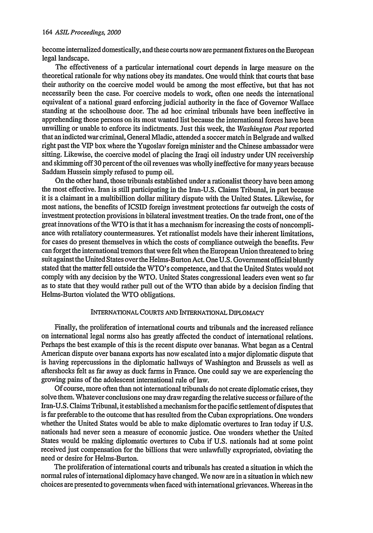become internalized domestically, and these courts now are permanent fixtures on the European legal landscape.

The effectiveness of a particular international court depends in large measure on the theoretical rationale for why nations obey its mandates. One would think that courts that base their authority on the coercive model would be among the most effective, but that has not necessarily been the case. For coercive models to work, often one needs the international equivalent of a national guard enforcing judicial authority in the face of Governor Wallace standing at the schoolhouse door. The ad hoe criminal tribunals have been ineffective in apprehending those persons on its most wanted list because the international forces have been unwilling or unable to enforce its indictments. Just this week, the *Washington Post* reported that an indicted war criminal, General Mladic, attended a soccer match in Belgrade and walked right past the VIP box where the Yugoslav foreign minister and the Chinese ambassador were sitting. Likewise, the coercive model of placing the Iraqi oil industry under UN receivership and skimming off 30 percent of the oil revenues was wholly ineffective for many years because Saddam Hussein simply refused to pump oil.

On the other hand, those tribunals established under a rationalist theory have been among the most effective. Iran is still participating in the Iran-U.S. Claims Tribunal, in part because it is a claimant in a multibillion dollar military dispute with the United States. Likewise, for most nations, the benefits of ICSID foreign investment protections far outweigh the costs of investment protection provisions in bilateral investment treaties. On the trade front, one of the great innovations of the WTO is that it has a mechanism for increasing the costs of noncompliance with retaliatory countermeasures. Yet rationalist models have their inherent limitations, for cases do present themselves in which the costs of compliance outweigh the benefits. Few can forget the international tremors that were felt when the European Union threatened to bring suit against the United States over the Helms-Burton Act. One U.S. Government official bluntly stated that the matter fell outside the WTO's competence, and that the United States would not comply with any decision by the WTO. United States congressional leaders even went so far as to state that they would rather pull out of the WTO than abide by a decision finding that Helms-Burton violated the WTO obligations.

### INTERNATIONAL COURTS AND INTERNATIONAL DIPLOMACY

Finally, the proliferation of international courts and tribunals and the increased reliance on international legal norms also has greatly affected the conduct of international relations. Perhaps the best example of this is the recent dispute over bananas. What began as a Central American dispute over banana exports has now escalated into a major diplomatic dispute that is having repercussions in the diplomatic hallways of Washington and Brussels as well as aftershocks felt as far away as duck farms in France. One could say we are experiencing the growing pains of the adolescent international rule of law.

Of course, more often than not international tribunals do not create diplomatic crises, they solve them. Whatever conclusions one may draw regarding the relative success or failure of the Iran-U.S. Claims Tribunal, it established a mechanism for the pacific settlement of disputes that is far preferable to the outcome that has resulted from the Cuban expropriations. One wonders whether the United States would be able to make diplomatic overtures to Iran today if U.S. nationals had never seen a measure of economic justice. One wonders whether the United States would be making diplomatic overtures to Cuba if U.S. nationals had at some point received just compensation for the billions that were unlawfully expropriated, obviating the need or desire for Helms-Burton.

The proliferation of international courts and tribunals has created a situation in which the normal rules of international diplomacy have changed. We now are in a situation in which new choices are presented to governments when faced with international grievances. Whereas in the